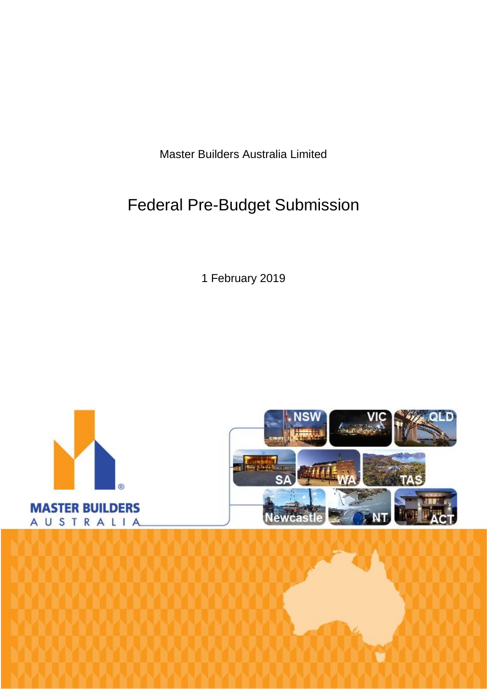Master Builders Australia Limited

# Federal Pre-Budget Submission

1 February 2019

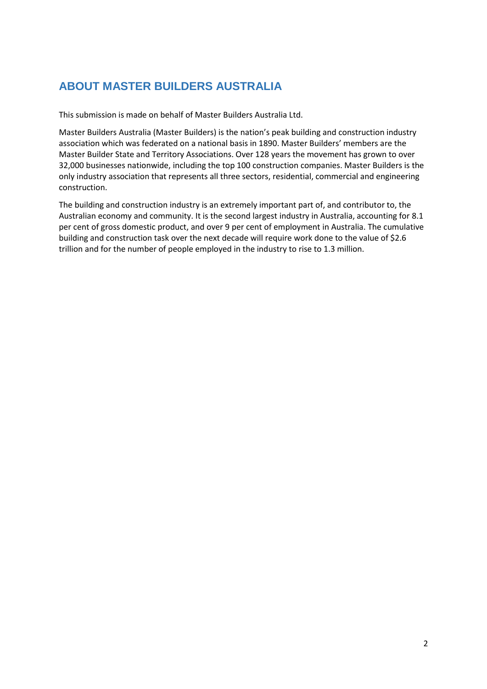# **ABOUT MASTER BUILDERS AUSTRALIA**

This submission is made on behalf of Master Builders Australia Ltd.

Master Builders Australia (Master Builders) is the nation's peak building and construction industry association which was federated on a national basis in 1890. Master Builders' members are the Master Builder State and Territory Associations. Over 128 years the movement has grown to over 32,000 businesses nationwide, including the top 100 construction companies. Master Builders is the only industry association that represents all three sectors, residential, commercial and engineering construction.

The building and construction industry is an extremely important part of, and contributor to, the Australian economy and community. It is the second largest industry in Australia, accounting for 8.1 per cent of gross domestic product, and over 9 per cent of employment in Australia. The cumulative building and construction task over the next decade will require work done to the value of \$2.6 trillion and for the number of people employed in the industry to rise to 1.3 million.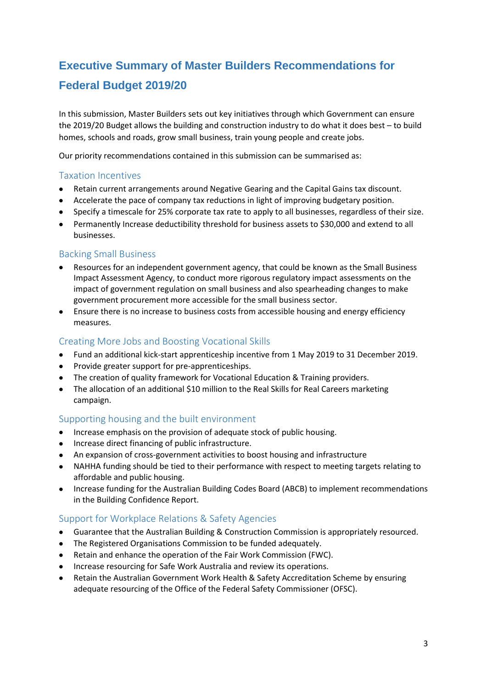# **Executive Summary of Master Builders Recommendations for Federal Budget 2019/20**

In this submission, Master Builders sets out key initiatives through which Government can ensure the 2019/20 Budget allows the building and construction industry to do what it does best – to build homes, schools and roads, grow small business, train young people and create jobs.

Our priority recommendations contained in this submission can be summarised as:

#### Taxation Incentives

- Retain current arrangements around Negative Gearing and the Capital Gains tax discount.
- Accelerate the pace of company tax reductions in light of improving budgetary position.
- Specify a timescale for 25% corporate tax rate to apply to all businesses, regardless of their size.
- Permanently Increase deductibility threshold for business assets to \$30,000 and extend to all businesses.

## Backing Small Business

- Resources for an independent government agency, that could be known as the Small Business Impact Assessment Agency, to conduct more rigorous regulatory impact assessments on the impact of government regulation on small business and also spearheading changes to make government procurement more accessible for the small business sector.
- Ensure there is no increase to business costs from accessible housing and energy efficiency measures.

#### Creating More Jobs and Boosting Vocational Skills

- Fund an additional kick-start apprenticeship incentive from 1 May 2019 to 31 December 2019.
- Provide greater support for pre-apprenticeships.
- The creation of quality framework for Vocational Education & Training providers.
- The allocation of an additional \$10 million to the Real Skills for Real Careers marketing campaign.

## Supporting housing and the built environment

- Increase emphasis on the provision of adequate stock of public housing.
- Increase direct financing of public infrastructure.
- An expansion of cross-government activities to boost housing and infrastructure
- NAHHA funding should be tied to their performance with respect to meeting targets relating to affordable and public housing.
- Increase funding for the Australian Building Codes Board (ABCB) to implement recommendations in the Building Confidence Report.

## Support for Workplace Relations & Safety Agencies

- Guarantee that the Australian Building & Construction Commission is appropriately resourced.
- The Registered Organisations Commission to be funded adequately.
- Retain and enhance the operation of the Fair Work Commission (FWC).
- Increase resourcing for Safe Work Australia and review its operations.
- Retain the Australian Government Work Health & Safety Accreditation Scheme by ensuring adequate resourcing of the Office of the Federal Safety Commissioner (OFSC).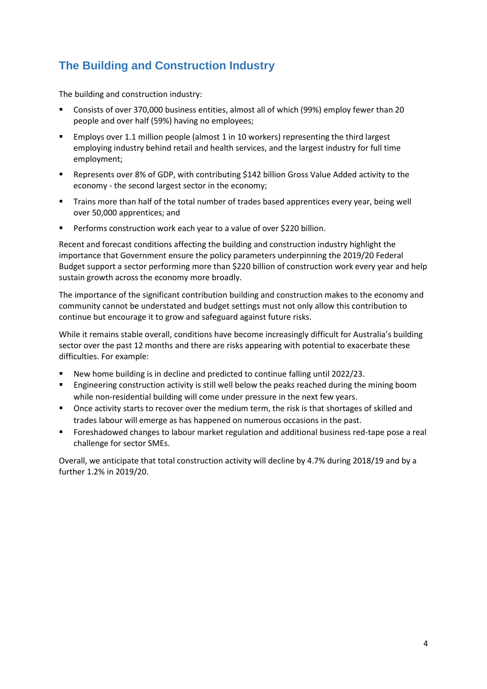# **The Building and Construction Industry**

The building and construction industry:

- Consists of over 370,000 business entities, almost all of which (99%) employ fewer than 20 people and over half (59%) having no employees;
- Employs over 1.1 million people (almost 1 in 10 workers) representing the third largest employing industry behind retail and health services, and the largest industry for full time employment;
- Represents over 8% of GDP, with contributing \$142 billion Gross Value Added activity to the economy - the second largest sector in the economy;
- **Trains more than half of the total number of trades based apprentices every year, being well** over 50,000 apprentices; and
- Performs construction work each year to a value of over \$220 billion.

Recent and forecast conditions affecting the building and construction industry highlight the importance that Government ensure the policy parameters underpinning the 2019/20 Federal Budget support a sector performing more than \$220 billion of construction work every year and help sustain growth across the economy more broadly.

The importance of the significant contribution building and construction makes to the economy and community cannot be understated and budget settings must not only allow this contribution to continue but encourage it to grow and safeguard against future risks.

While it remains stable overall, conditions have become increasingly difficult for Australia's building sector over the past 12 months and there are risks appearing with potential to exacerbate these difficulties. For example:

- New home building is in decline and predicted to continue falling until 2022/23.
- Engineering construction activity is still well below the peaks reached during the mining boom while non-residential building will come under pressure in the next few years.
- Once activity starts to recover over the medium term, the risk is that shortages of skilled and trades labour will emerge as has happened on numerous occasions in the past.
- Foreshadowed changes to labour market regulation and additional business red-tape pose a real challenge for sector SMEs.

Overall, we anticipate that total construction activity will decline by 4.7% during 2018/19 and by a further 1.2% in 2019/20.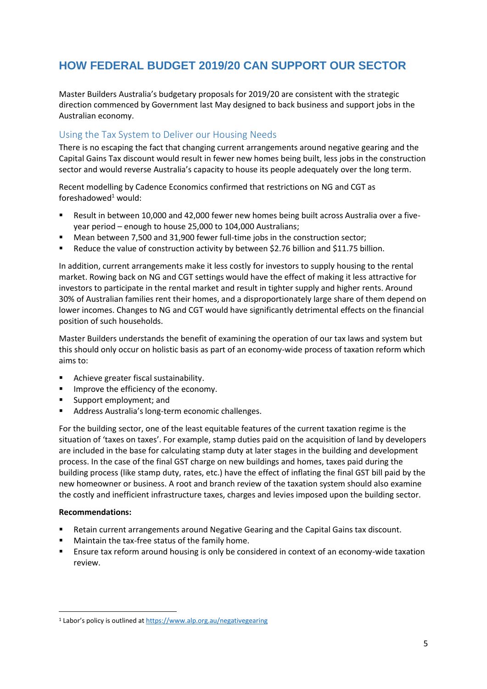# **HOW FEDERAL BUDGET 2019/20 CAN SUPPORT OUR SECTOR**

Master Builders Australia's budgetary proposals for 2019/20 are consistent with the strategic direction commenced by Government last May designed to back business and support jobs in the Australian economy.

## Using the Tax System to Deliver our Housing Needs

There is no escaping the fact that changing current arrangements around negative gearing and the Capital Gains Tax discount would result in fewer new homes being built, less jobs in the construction sector and would reverse Australia's capacity to house its people adequately over the long term.

Recent modelling by Cadence Economics confirmed that restrictions on NG and CGT as foreshadowed<sup>1</sup> would:

- Result in between 10,000 and 42,000 fewer new homes being built across Australia over a fiveyear period – enough to house 25,000 to 104,000 Australians;
- Mean between 7,500 and 31,900 fewer full-time jobs in the construction sector;
- Reduce the value of construction activity by between \$2.76 billion and \$11.75 billion.

In addition, current arrangements make it less costly for investors to supply housing to the rental market. Rowing back on NG and CGT settings would have the effect of making it less attractive for investors to participate in the rental market and result in tighter supply and higher rents. Around 30% of Australian families rent their homes, and a disproportionately large share of them depend on lower incomes. Changes to NG and CGT would have significantly detrimental effects on the financial position of such households.

Master Builders understands the benefit of examining the operation of our tax laws and system but this should only occur on holistic basis as part of an economy-wide process of taxation reform which aims to:

- **Achieve greater fiscal sustainability.**
- **IMPROVE the efficiency of the economy.**
- Support employment; and
- Address Australia's long-term economic challenges.

For the building sector, one of the least equitable features of the current taxation regime is the situation of 'taxes on taxes'. For example, stamp duties paid on the acquisition of land by developers are included in the base for calculating stamp duty at later stages in the building and development process. In the case of the final GST charge on new buildings and homes, taxes paid during the building process (like stamp duty, rates, etc.) have the effect of inflating the final GST bill paid by the new homeowner or business. A root and branch review of the taxation system should also examine the costly and inefficient infrastructure taxes, charges and levies imposed upon the building sector.

#### **Recommendations:**

**.** 

- Retain current arrangements around Negative Gearing and the Capital Gains tax discount.
- Maintain the tax-free status of the family home.
- Ensure tax reform around housing is only be considered in context of an economy-wide taxation review.

<sup>1</sup> Labor's policy is outlined at <https://www.alp.org.au/negativegearing>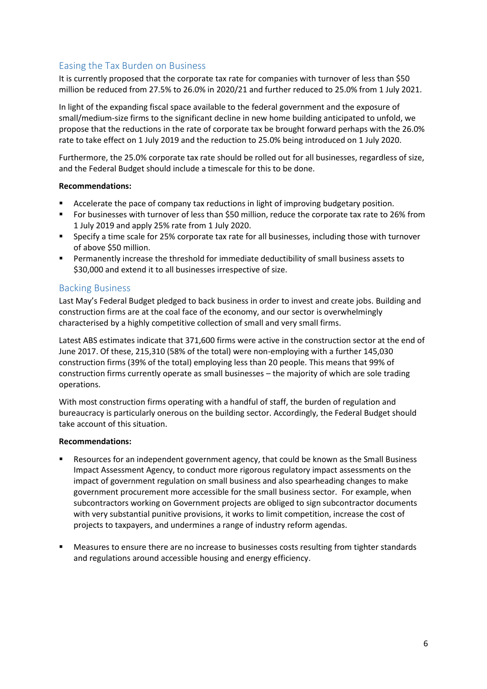# Easing the Tax Burden on Business

It is currently proposed that the corporate tax rate for companies with turnover of less than \$50 million be reduced from 27.5% to 26.0% in 2020/21 and further reduced to 25.0% from 1 July 2021.

In light of the expanding fiscal space available to the federal government and the exposure of small/medium-size firms to the significant decline in new home building anticipated to unfold, we propose that the reductions in the rate of corporate tax be brought forward perhaps with the 26.0% rate to take effect on 1 July 2019 and the reduction to 25.0% being introduced on 1 July 2020.

Furthermore, the 25.0% corporate tax rate should be rolled out for all businesses, regardless of size, and the Federal Budget should include a timescale for this to be done.

#### **Recommendations:**

- Accelerate the pace of company tax reductions in light of improving budgetary position.
- For businesses with turnover of less than \$50 million, reduce the corporate tax rate to 26% from 1 July 2019 and apply 25% rate from 1 July 2020.
- **Specify a time scale for 25% corporate tax rate for all businesses, including those with turnover** of above \$50 million.
- Permanently increase the threshold for immediate deductibility of small business assets to \$30,000 and extend it to all businesses irrespective of size.

#### Backing Business

Last May's Federal Budget pledged to back business in order to invest and create jobs. Building and construction firms are at the coal face of the economy, and our sector is overwhelmingly characterised by a highly competitive collection of small and very small firms.

Latest ABS estimates indicate that 371,600 firms were active in the construction sector at the end of June 2017. Of these, 215,310 (58% of the total) were non-employing with a further 145,030 construction firms (39% of the total) employing less than 20 people. This means that 99% of construction firms currently operate as small businesses – the majority of which are sole trading operations.

With most construction firms operating with a handful of staff, the burden of regulation and bureaucracy is particularly onerous on the building sector. Accordingly, the Federal Budget should take account of this situation.

#### **Recommendations:**

- Resources for an independent government agency, that could be known as the Small Business Impact Assessment Agency, to conduct more rigorous regulatory impact assessments on the impact of government regulation on small business and also spearheading changes to make government procurement more accessible for the small business sector. For example, when subcontractors working on Government projects are obliged to sign subcontractor documents with very substantial punitive provisions, it works to limit competition, increase the cost of projects to taxpayers, and undermines a range of industry reform agendas.
- Measures to ensure there are no increase to businesses costs resulting from tighter standards and regulations around accessible housing and energy efficiency.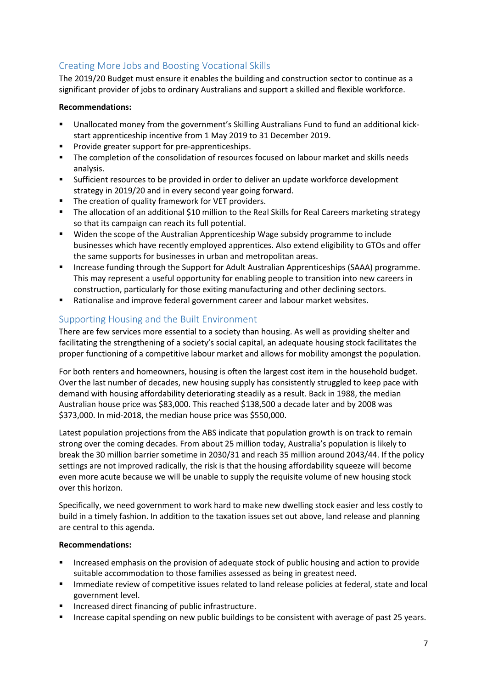# Creating More Jobs and Boosting Vocational Skills

The 2019/20 Budget must ensure it enables the building and construction sector to continue as a significant provider of jobs to ordinary Australians and support a skilled and flexible workforce.

#### **Recommendations:**

- Unallocated money from the government's Skilling Australians Fund to fund an additional kickstart apprenticeship incentive from 1 May 2019 to 31 December 2019.
- **Provide greater support for pre-apprenticeships.**
- The completion of the consolidation of resources focused on labour market and skills needs analysis.
- Sufficient resources to be provided in order to deliver an update workforce development strategy in 2019/20 and in every second year going forward.
- **The creation of quality framework for VET providers.**
- The allocation of an additional \$10 million to the Real Skills for Real Careers marketing strategy so that its campaign can reach its full potential.
- Widen the scope of the Australian Apprenticeship Wage subsidy programme to include businesses which have recently employed apprentices. Also extend eligibility to GTOs and offer the same supports for businesses in urban and metropolitan areas.
- **Increase funding through the Support for Adult Australian Apprenticeships (SAAA) programme.** This may represent a useful opportunity for enabling people to transition into new careers in construction, particularly for those exiting manufacturing and other declining sectors.
- Rationalise and improve federal government career and labour market websites.

## Supporting Housing and the Built Environment

There are few services more essential to a society than housing. As well as providing shelter and facilitating the strengthening of a society's social capital, an adequate housing stock facilitates the proper functioning of a competitive labour market and allows for mobility amongst the population.

For both renters and homeowners, housing is often the largest cost item in the household budget. Over the last number of decades, new housing supply has consistently struggled to keep pace with demand with housing affordability deteriorating steadily as a result. Back in 1988, the median Australian house price was \$83,000. This reached \$138,500 a decade later and by 2008 was \$373,000. In mid-2018, the median house price was \$550,000.

Latest population projections from the ABS indicate that population growth is on track to remain strong over the coming decades. From about 25 million today, Australia's population is likely to break the 30 million barrier sometime in 2030/31 and reach 35 million around 2043/44. If the policy settings are not improved radically, the risk is that the housing affordability squeeze will become even more acute because we will be unable to supply the requisite volume of new housing stock over this horizon.

Specifically, we need government to work hard to make new dwelling stock easier and less costly to build in a timely fashion. In addition to the taxation issues set out above, land release and planning are central to this agenda.

#### **Recommendations:**

- Increased emphasis on the provision of adequate stock of public housing and action to provide suitable accommodation to those families assessed as being in greatest need.
- **IMMED 19 Immediate review of competitive issues related to land release policies at federal, state and local** government level.
- **Increased direct financing of public infrastructure.**
- **Increase capital spending on new public buildings to be consistent with average of past 25 years.**